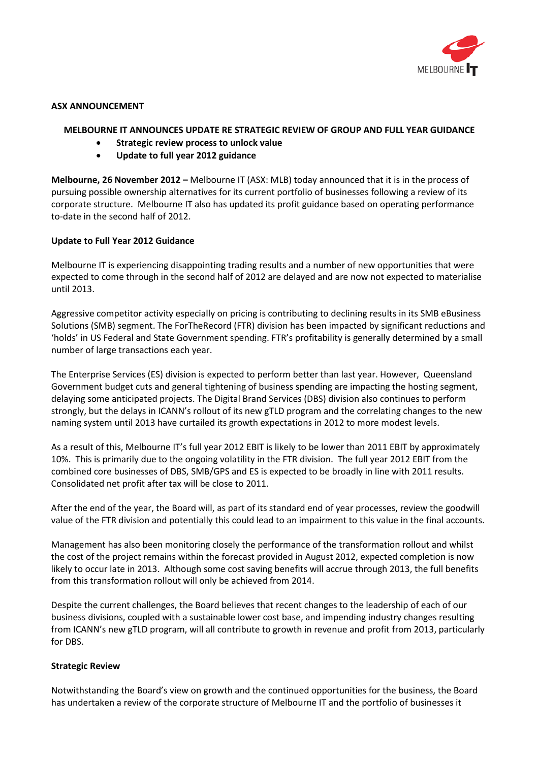

#### **ASX ANNOUNCEMENT**

# **MELBOURNE IT ANNOUNCES UPDATE RE STRATEGIC REVIEW OF GROUP AND FULL YEAR GUIDANCE**

- **Strategic review process to unlock value**
- **Update to full year 2012 guidance**

**Melbourne, 26 November 2012 –** Melbourne IT (ASX: MLB) today announced that it is in the process of pursuing possible ownership alternatives for its current portfolio of businesses following a review of its corporate structure. Melbourne IT also has updated its profit guidance based on operating performance to-date in the second half of 2012.

# **Update to Full Year 2012 Guidance**

Melbourne IT is experiencing disappointing trading results and a number of new opportunities that were expected to come through in the second half of 2012 are delayed and are now not expected to materialise until 2013.

Aggressive competitor activity especially on pricing is contributing to declining results in its SMB eBusiness Solutions (SMB) segment. The ForTheRecord (FTR) division has been impacted by significant reductions and 'holds' in US Federal and State Government spending. FTR's profitability is generally determined by a small number of large transactions each year.

The Enterprise Services (ES) division is expected to perform better than last year. However, Queensland Government budget cuts and general tightening of business spending are impacting the hosting segment, delaying some anticipated projects. The Digital Brand Services (DBS) division also continues to perform strongly, but the delays in ICANN's rollout of its new gTLD program and the correlating changes to the new naming system until 2013 have curtailed its growth expectations in 2012 to more modest levels.

As a result of this, Melbourne IT's full year 2012 EBIT is likely to be lower than 2011 EBIT by approximately 10%. This is primarily due to the ongoing volatility in the FTR division. The full year 2012 EBIT from the combined core businesses of DBS, SMB/GPS and ES is expected to be broadly in line with 2011 results. Consolidated net profit after tax will be close to 2011.

After the end of the year, the Board will, as part of its standard end of year processes, review the goodwill value of the FTR division and potentially this could lead to an impairment to this value in the final accounts.

Management has also been monitoring closely the performance of the transformation rollout and whilst the cost of the project remains within the forecast provided in August 2012, expected completion is now likely to occur late in 2013. Although some cost saving benefits will accrue through 2013, the full benefits from this transformation rollout will only be achieved from 2014.

Despite the current challenges, the Board believes that recent changes to the leadership of each of our business divisions, coupled with a sustainable lower cost base, and impending industry changes resulting from ICANN's new gTLD program, will all contribute to growth in revenue and profit from 2013, particularly for DBS.

# **Strategic Review**

Notwithstanding the Board's view on growth and the continued opportunities for the business, the Board has undertaken a review of the corporate structure of Melbourne IT and the portfolio of businesses it